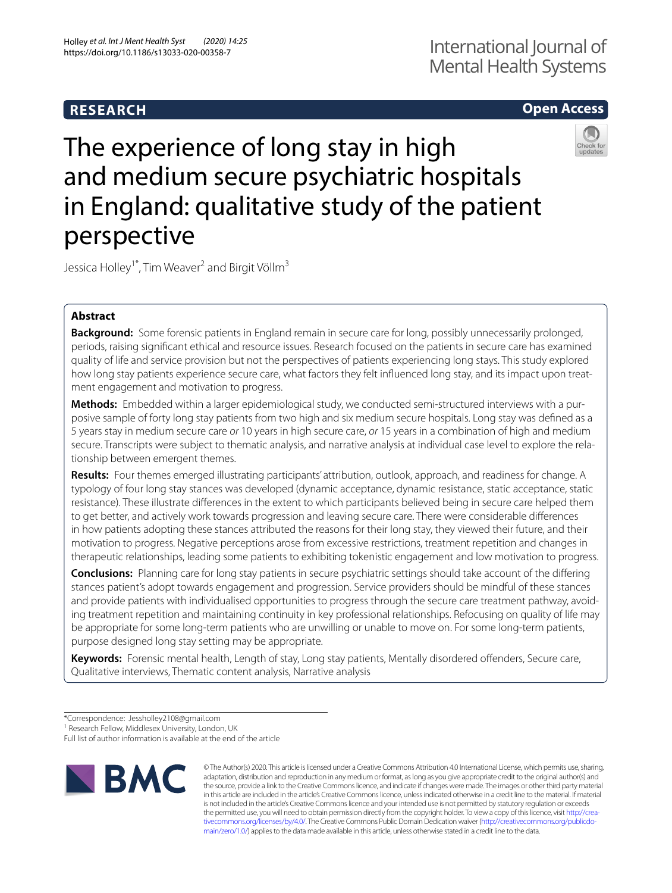# **RESEARCH**

# International Journal of Mental Health Systems

# **Open Access**



The experience of long stay in high and medium secure psychiatric hospitals in England: qualitative study of the patient perspective

Jessica Holley<sup>1\*</sup>, Tim Weaver<sup>2</sup> and Birgit Völlm<sup>3</sup>

## **Abstract**

**Background:** Some forensic patients in England remain in secure care for long, possibly unnecessarily prolonged, periods, raising signifcant ethical and resource issues. Research focused on the patients in secure care has examined quality of life and service provision but not the perspectives of patients experiencing long stays. This study explored how long stay patients experience secure care, what factors they felt infuenced long stay, and its impact upon treatment engagement and motivation to progress.

**Methods:** Embedded within a larger epidemiological study, we conducted semi-structured interviews with a purposive sample of forty long stay patients from two high and six medium secure hospitals. Long stay was defned as a 5 years stay in medium secure care *or* 10 years in high secure care, *or* 15 years in a combination of high and medium secure. Transcripts were subject to thematic analysis, and narrative analysis at individual case level to explore the relationship between emergent themes.

**Results:** Four themes emerged illustrating participants' attribution, outlook, approach, and readiness for change. A typology of four long stay stances was developed (dynamic acceptance, dynamic resistance, static acceptance, static resistance). These illustrate diferences in the extent to which participants believed being in secure care helped them to get better, and actively work towards progression and leaving secure care. There were considerable diferences in how patients adopting these stances attributed the reasons for their long stay, they viewed their future, and their motivation to progress. Negative perceptions arose from excessive restrictions, treatment repetition and changes in therapeutic relationships, leading some patients to exhibiting tokenistic engagement and low motivation to progress.

**Conclusions:** Planning care for long stay patients in secure psychiatric settings should take account of the difering stances patient's adopt towards engagement and progression. Service providers should be mindful of these stances and provide patients with individualised opportunities to progress through the secure care treatment pathway, avoiding treatment repetition and maintaining continuity in key professional relationships. Refocusing on quality of life may be appropriate for some long-term patients who are unwilling or unable to move on. For some long-term patients, purpose designed long stay setting may be appropriate.

**Keywords:** Forensic mental health, Length of stay, Long stay patients, Mentally disordered ofenders, Secure care, Qualitative interviews, Thematic content analysis, Narrative analysis

\*Correspondence: Jessholley2108@gmail.com

<sup>1</sup> Research Fellow, Middlesex University, London, UK

Full list of author information is available at the end of the article



© The Author(s) 2020. This article is licensed under a Creative Commons Attribution 4.0 International License, which permits use, sharing, adaptation, distribution and reproduction in any medium or format, as long as you give appropriate credit to the original author(s) and the source, provide a link to the Creative Commons licence, and indicate if changes were made. The images or other third party material in this article are included in the article's Creative Commons licence, unless indicated otherwise in a credit line to the material. If material is not included in the article's Creative Commons licence and your intended use is not permitted by statutory regulation or exceeds the permitted use, you will need to obtain permission directly from the copyright holder. To view a copy of this licence, visit [http://crea](http://creativecommons.org/licenses/by/4.0/)[tivecommons.org/licenses/by/4.0/.](http://creativecommons.org/licenses/by/4.0/) The Creative Commons Public Domain Dedication waiver ([http://creativecommons.org/publicdo](http://creativecommons.org/publicdomain/zero/1.0/)[main/zero/1.0/\)](http://creativecommons.org/publicdomain/zero/1.0/) applies to the data made available in this article, unless otherwise stated in a credit line to the data.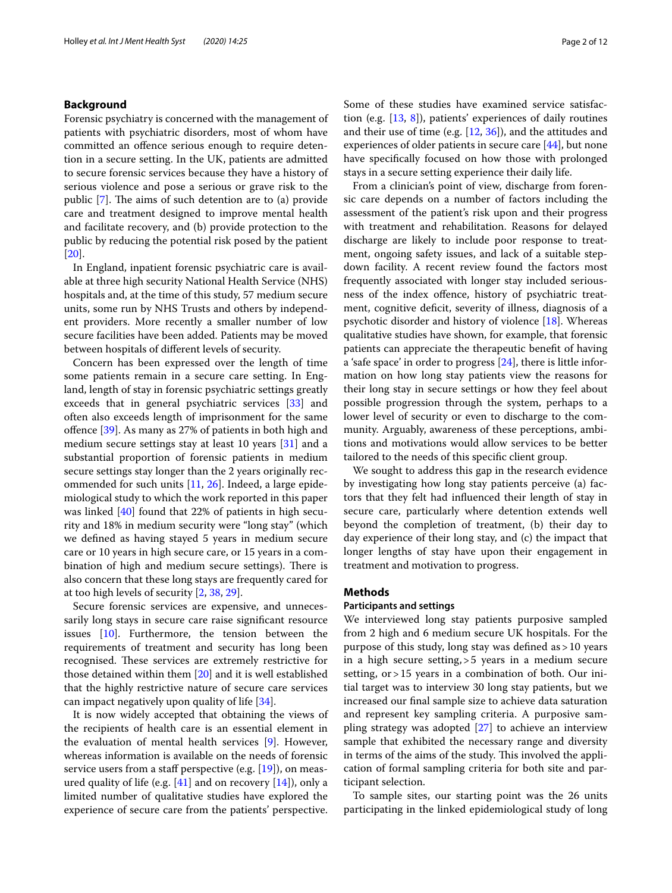### **Background**

Forensic psychiatry is concerned with the management of patients with psychiatric disorders, most of whom have committed an ofence serious enough to require detention in a secure setting. In the UK, patients are admitted to secure forensic services because they have a history of serious violence and pose a serious or grave risk to the public  $[7]$  $[7]$ . The aims of such detention are to (a) provide care and treatment designed to improve mental health and facilitate recovery, and (b) provide protection to the public by reducing the potential risk posed by the patient [[20\]](#page-10-1).

In England, inpatient forensic psychiatric care is available at three high security National Health Service (NHS) hospitals and, at the time of this study, 57 medium secure units, some run by NHS Trusts and others by independent providers. More recently a smaller number of low secure facilities have been added. Patients may be moved between hospitals of diferent levels of security.

Concern has been expressed over the length of time some patients remain in a secure care setting. In England, length of stay in forensic psychiatric settings greatly exceeds that in general psychiatric services [[33\]](#page-11-0) and often also exceeds length of imprisonment for the same ofence [[39\]](#page-11-1). As many as 27% of patients in both high and medium secure settings stay at least 10 years [\[31](#page-11-2)] and a substantial proportion of forensic patients in medium secure settings stay longer than the 2 years originally recommended for such units [[11,](#page-10-2) [26](#page-11-3)]. Indeed, a large epidemiological study to which the work reported in this paper was linked [[40\]](#page-11-4) found that 22% of patients in high security and 18% in medium security were "long stay" (which we defned as having stayed 5 years in medium secure care or 10 years in high secure care, or 15 years in a combination of high and medium secure settings). There is also concern that these long stays are frequently cared for at too high levels of security [\[2](#page-10-3), [38,](#page-11-5) [29\]](#page-11-6).

Secure forensic services are expensive, and unnecessarily long stays in secure care raise signifcant resource issues [\[10](#page-10-4)]. Furthermore, the tension between the requirements of treatment and security has long been recognised. These services are extremely restrictive for those detained within them [\[20](#page-10-1)] and it is well established that the highly restrictive nature of secure care services can impact negatively upon quality of life [[34](#page-11-7)].

It is now widely accepted that obtaining the views of the recipients of health care is an essential element in the evaluation of mental health services [\[9](#page-10-5)]. However, whereas information is available on the needs of forensic service users from a staff perspective (e.g.  $[19]$  $[19]$ ), on measured quality of life (e.g.  $[41]$  and on recovery  $[14]$  $[14]$ ), only a limited number of qualitative studies have explored the experience of secure care from the patients' perspective. Some of these studies have examined service satisfaction (e.g. [\[13](#page-10-8), [8\]](#page-10-9)), patients' experiences of daily routines and their use of time (e.g.  $[12, 36]$  $[12, 36]$  $[12, 36]$  $[12, 36]$ ), and the attitudes and experiences of older patients in secure care [[44\]](#page-11-10), but none have specifcally focused on how those with prolonged stays in a secure setting experience their daily life.

From a clinician's point of view, discharge from forensic care depends on a number of factors including the assessment of the patient's risk upon and their progress with treatment and rehabilitation. Reasons for delayed discharge are likely to include poor response to treatment, ongoing safety issues, and lack of a suitable stepdown facility. A recent review found the factors most frequently associated with longer stay included seriousness of the index offence, history of psychiatric treatment, cognitive deficit, severity of illness, diagnosis of a psychotic disorder and history of violence [[18\]](#page-10-11). Whereas qualitative studies have shown, for example, that forensic patients can appreciate the therapeutic beneft of having a 'safe space' in order to progress [\[24](#page-11-11)], there is little information on how long stay patients view the reasons for their long stay in secure settings or how they feel about possible progression through the system, perhaps to a lower level of security or even to discharge to the community. Arguably, awareness of these perceptions, ambitions and motivations would allow services to be better tailored to the needs of this specifc client group.

We sought to address this gap in the research evidence by investigating how long stay patients perceive (a) factors that they felt had infuenced their length of stay in secure care, particularly where detention extends well beyond the completion of treatment, (b) their day to day experience of their long stay, and (c) the impact that longer lengths of stay have upon their engagement in treatment and motivation to progress.

### **Methods**

### **Participants and settings**

We interviewed long stay patients purposive sampled from 2 high and 6 medium secure UK hospitals. For the purpose of this study, long stay was defned as>10 years in a high secure setting,>5 years in a medium secure setting, or > 15 years in a combination of both. Our initial target was to interview 30 long stay patients, but we increased our fnal sample size to achieve data saturation and represent key sampling criteria. A purposive sampling strategy was adopted [[27\]](#page-11-12) to achieve an interview sample that exhibited the necessary range and diversity in terms of the aims of the study. This involved the application of formal sampling criteria for both site and participant selection.

To sample sites, our starting point was the 26 units participating in the linked epidemiological study of long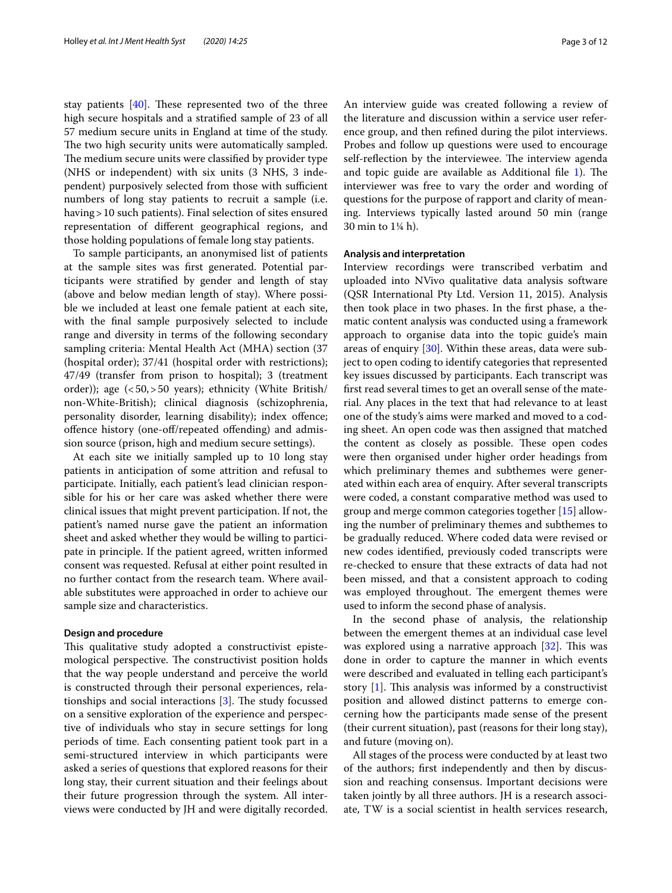stay patients  $[40]$  $[40]$  $[40]$ . These represented two of the three high secure hospitals and a stratifed sample of 23 of all 57 medium secure units in England at time of the study. The two high security units were automatically sampled. The medium secure units were classified by provider type (NHS or independent) with six units (3 NHS, 3 independent) purposively selected from those with sufficient numbers of long stay patients to recruit a sample (i.e. having>10 such patients). Final selection of sites ensured representation of diferent geographical regions, and those holding populations of female long stay patients.

To sample participants, an anonymised list of patients at the sample sites was frst generated. Potential participants were stratifed by gender and length of stay (above and below median length of stay). Where possible we included at least one female patient at each site, with the fnal sample purposively selected to include range and diversity in terms of the following secondary sampling criteria: Mental Health Act (MHA) section (37 (hospital order); 37/41 (hospital order with restrictions); 47/49 (transfer from prison to hospital); 3 (treatment order)); age (<50,>50 years); ethnicity (White British/ non-White-British); clinical diagnosis (schizophrenia, personality disorder, learning disability); index ofence; offence history (one-off/repeated offending) and admission source (prison, high and medium secure settings).

At each site we initially sampled up to 10 long stay patients in anticipation of some attrition and refusal to participate. Initially, each patient's lead clinician responsible for his or her care was asked whether there were clinical issues that might prevent participation. If not, the patient's named nurse gave the patient an information sheet and asked whether they would be willing to participate in principle. If the patient agreed, written informed consent was requested. Refusal at either point resulted in no further contact from the research team. Where available substitutes were approached in order to achieve our sample size and characteristics.

### **Design and procedure**

This qualitative study adopted a constructivist epistemological perspective. The constructivist position holds that the way people understand and perceive the world is constructed through their personal experiences, relationships and social interactions  $[3]$  $[3]$ . The study focussed on a sensitive exploration of the experience and perspective of individuals who stay in secure settings for long periods of time. Each consenting patient took part in a semi-structured interview in which participants were asked a series of questions that explored reasons for their long stay, their current situation and their feelings about their future progression through the system. All interviews were conducted by JH and were digitally recorded.

An interview guide was created following a review of the literature and discussion within a service user reference group, and then refned during the pilot interviews. Probes and follow up questions were used to encourage self-reflection by the interviewee. The interview agenda and topic guide are available as Additional file  $1$ ). The interviewer was free to vary the order and wording of questions for the purpose of rapport and clarity of meaning. Interviews typically lasted around 50 min (range 30 min to 1¼ h).

### **Analysis and interpretation**

Interview recordings were transcribed verbatim and uploaded into NVivo qualitative data analysis software (QSR International Pty Ltd. Version 11, 2015). Analysis then took place in two phases. In the frst phase, a thematic content analysis was conducted using a framework approach to organise data into the topic guide's main areas of enquiry [\[30](#page-11-13)]. Within these areas, data were subject to open coding to identify categories that represented key issues discussed by participants. Each transcript was frst read several times to get an overall sense of the material. Any places in the text that had relevance to at least one of the study's aims were marked and moved to a coding sheet. An open code was then assigned that matched the content as closely as possible. These open codes were then organised under higher order headings from which preliminary themes and subthemes were generated within each area of enquiry. After several transcripts were coded, a constant comparative method was used to group and merge common categories together [\[15\]](#page-10-14) allowing the number of preliminary themes and subthemes to be gradually reduced. Where coded data were revised or new codes identifed, previously coded transcripts were re-checked to ensure that these extracts of data had not been missed, and that a consistent approach to coding was employed throughout. The emergent themes were used to inform the second phase of analysis.

In the second phase of analysis, the relationship between the emergent themes at an individual case level was explored using a narrative approach  $[32]$  $[32]$ . This was done in order to capture the manner in which events were described and evaluated in telling each participant's story  $[1]$  $[1]$ . This analysis was informed by a constructivist position and allowed distinct patterns to emerge concerning how the participants made sense of the present (their current situation), past (reasons for their long stay), and future (moving on).

All stages of the process were conducted by at least two of the authors; frst independently and then by discussion and reaching consensus. Important decisions were taken jointly by all three authors. JH is a research associate, TW is a social scientist in health services research,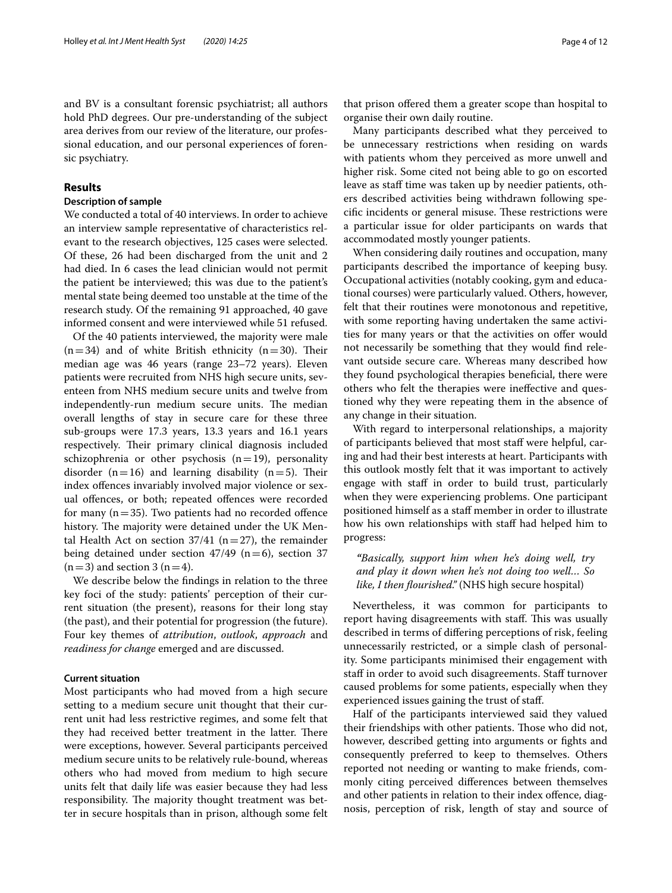and BV is a consultant forensic psychiatrist; all authors hold PhD degrees. Our pre-understanding of the subject area derives from our review of the literature, our professional education, and our personal experiences of forensic psychiatry.

### **Results**

### **Description of sample**

We conducted a total of 40 interviews. In order to achieve an interview sample representative of characteristics relevant to the research objectives, 125 cases were selected. Of these, 26 had been discharged from the unit and 2 had died. In 6 cases the lead clinician would not permit the patient be interviewed; this was due to the patient's mental state being deemed too unstable at the time of the research study. Of the remaining 91 approached, 40 gave informed consent and were interviewed while 51 refused.

Of the 40 patients interviewed, the majority were male  $(n=34)$  and of white British ethnicity  $(n=30)$ . Their median age was 46 years (range 23–72 years). Eleven patients were recruited from NHS high secure units, seventeen from NHS medium secure units and twelve from independently-run medium secure units. The median overall lengths of stay in secure care for these three sub-groups were 17.3 years, 13.3 years and 16.1 years respectively. Their primary clinical diagnosis included schizophrenia or other psychosis  $(n=19)$ , personality disorder ( $n=16$ ) and learning disability ( $n=5$ ). Their index offences invariably involved major violence or sexual ofences, or both; repeated ofences were recorded for many  $(n=35)$ . Two patients had no recorded offence history. The majority were detained under the UK Mental Health Act on section  $37/41$  (n=27), the remainder being detained under section  $47/49$  (n=6), section 37  $(n=3)$  and section 3  $(n=4)$ .

We describe below the fndings in relation to the three key foci of the study: patients' perception of their current situation (the present), reasons for their long stay (the past), and their potential for progression (the future). Four key themes of *attribution*, *outlook*, *approach* and *readiness for change* emerged and are discussed.

### **Current situation**

Most participants who had moved from a high secure setting to a medium secure unit thought that their current unit had less restrictive regimes, and some felt that they had received better treatment in the latter. There were exceptions, however. Several participants perceived medium secure units to be relatively rule-bound, whereas others who had moved from medium to high secure units felt that daily life was easier because they had less responsibility. The majority thought treatment was better in secure hospitals than in prison, although some felt

that prison ofered them a greater scope than hospital to organise their own daily routine.

Many participants described what they perceived to be unnecessary restrictions when residing on wards with patients whom they perceived as more unwell and higher risk. Some cited not being able to go on escorted leave as staff time was taken up by needier patients, others described activities being withdrawn following specific incidents or general misuse. These restrictions were a particular issue for older participants on wards that accommodated mostly younger patients.

When considering daily routines and occupation, many participants described the importance of keeping busy. Occupational activities (notably cooking, gym and educational courses) were particularly valued. Others, however, felt that their routines were monotonous and repetitive, with some reporting having undertaken the same activities for many years or that the activities on offer would not necessarily be something that they would fnd relevant outside secure care. Whereas many described how they found psychological therapies benefcial, there were others who felt the therapies were inefective and questioned why they were repeating them in the absence of any change in their situation.

With regard to interpersonal relationships, a majority of participants believed that most staf were helpful, caring and had their best interests at heart. Participants with this outlook mostly felt that it was important to actively engage with staff in order to build trust, particularly when they were experiencing problems. One participant positioned himself as a staf member in order to illustrate how his own relationships with staff had helped him to progress:

*"Basically, support him when he's doing well, try and play it down when he's not doing too well… So like, I then fourished."* (NHS high secure hospital)

Nevertheless, it was common for participants to report having disagreements with staff. This was usually described in terms of difering perceptions of risk, feeling unnecessarily restricted, or a simple clash of personality. Some participants minimised their engagement with staff in order to avoid such disagreements. Staff turnover caused problems for some patients, especially when they experienced issues gaining the trust of staf.

Half of the participants interviewed said they valued their friendships with other patients. Those who did not, however, described getting into arguments or fghts and consequently preferred to keep to themselves. Others reported not needing or wanting to make friends, commonly citing perceived diferences between themselves and other patients in relation to their index offence, diagnosis, perception of risk, length of stay and source of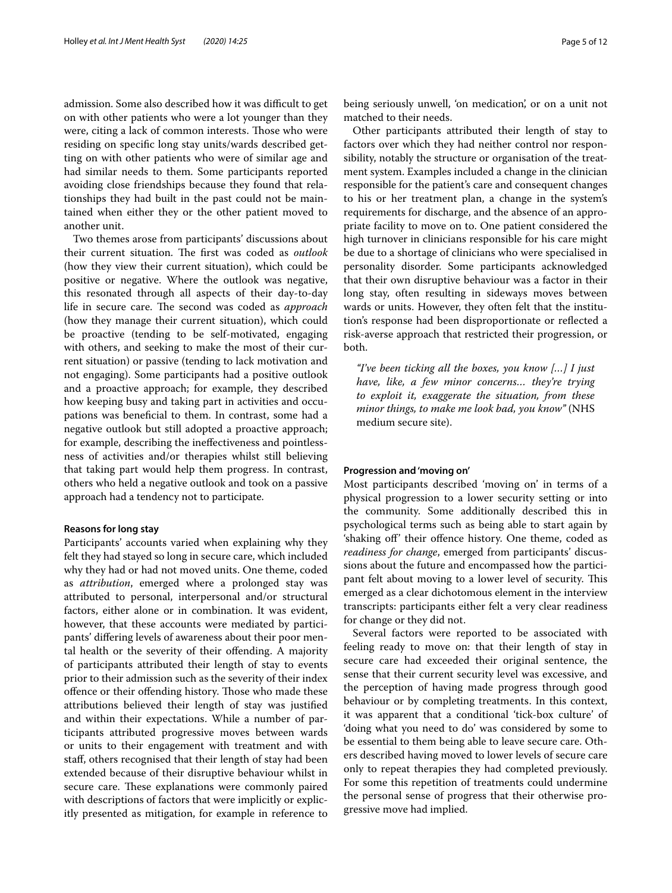admission. Some also described how it was difficult to get on with other patients who were a lot younger than they were, citing a lack of common interests. Those who were residing on specifc long stay units/wards described getting on with other patients who were of similar age and had similar needs to them. Some participants reported avoiding close friendships because they found that relationships they had built in the past could not be maintained when either they or the other patient moved to another unit.

Two themes arose from participants' discussions about their current situation. The first was coded as *outlook* (how they view their current situation), which could be positive or negative. Where the outlook was negative, this resonated through all aspects of their day-to-day life in secure care. The second was coded as *approach* (how they manage their current situation), which could be proactive (tending to be self-motivated, engaging with others, and seeking to make the most of their current situation) or passive (tending to lack motivation and not engaging). Some participants had a positive outlook and a proactive approach; for example, they described how keeping busy and taking part in activities and occupations was benefcial to them. In contrast, some had a negative outlook but still adopted a proactive approach; for example, describing the inefectiveness and pointlessness of activities and/or therapies whilst still believing that taking part would help them progress. In contrast, others who held a negative outlook and took on a passive approach had a tendency not to participate.

### **Reasons for long stay**

Participants' accounts varied when explaining why they felt they had stayed so long in secure care, which included why they had or had not moved units. One theme, coded as *attribution*, emerged where a prolonged stay was attributed to personal, interpersonal and/or structural factors, either alone or in combination. It was evident, however, that these accounts were mediated by participants' difering levels of awareness about their poor mental health or the severity of their ofending. A majority of participants attributed their length of stay to events prior to their admission such as the severity of their index offence or their offending history. Those who made these attributions believed their length of stay was justifed and within their expectations. While a number of participants attributed progressive moves between wards or units to their engagement with treatment and with staf, others recognised that their length of stay had been extended because of their disruptive behaviour whilst in secure care. These explanations were commonly paired with descriptions of factors that were implicitly or explicitly presented as mitigation, for example in reference to being seriously unwell, 'on medication', or on a unit not matched to their needs.

Other participants attributed their length of stay to factors over which they had neither control nor responsibility, notably the structure or organisation of the treatment system. Examples included a change in the clinician responsible for the patient's care and consequent changes to his or her treatment plan, a change in the system's requirements for discharge, and the absence of an appropriate facility to move on to. One patient considered the high turnover in clinicians responsible for his care might be due to a shortage of clinicians who were specialised in personality disorder. Some participants acknowledged that their own disruptive behaviour was a factor in their long stay, often resulting in sideways moves between wards or units. However, they often felt that the institution's response had been disproportionate or refected a risk-averse approach that restricted their progression, or both.

*"I've been ticking all the boxes, you know […] I just have, like, a few minor concerns… they're trying to exploit it, exaggerate the situation, from these minor things, to make me look bad, you know"* (NHS medium secure site).

### **Progression and 'moving on'**

Most participants described 'moving on' in terms of a physical progression to a lower security setting or into the community. Some additionally described this in psychological terms such as being able to start again by 'shaking off' their offence history. One theme, coded as *readiness for change*, emerged from participants' discussions about the future and encompassed how the participant felt about moving to a lower level of security. This emerged as a clear dichotomous element in the interview transcripts: participants either felt a very clear readiness for change or they did not.

Several factors were reported to be associated with feeling ready to move on: that their length of stay in secure care had exceeded their original sentence, the sense that their current security level was excessive, and the perception of having made progress through good behaviour or by completing treatments. In this context, it was apparent that a conditional 'tick-box culture' of 'doing what you need to do' was considered by some to be essential to them being able to leave secure care. Others described having moved to lower levels of secure care only to repeat therapies they had completed previously. For some this repetition of treatments could undermine the personal sense of progress that their otherwise progressive move had implied.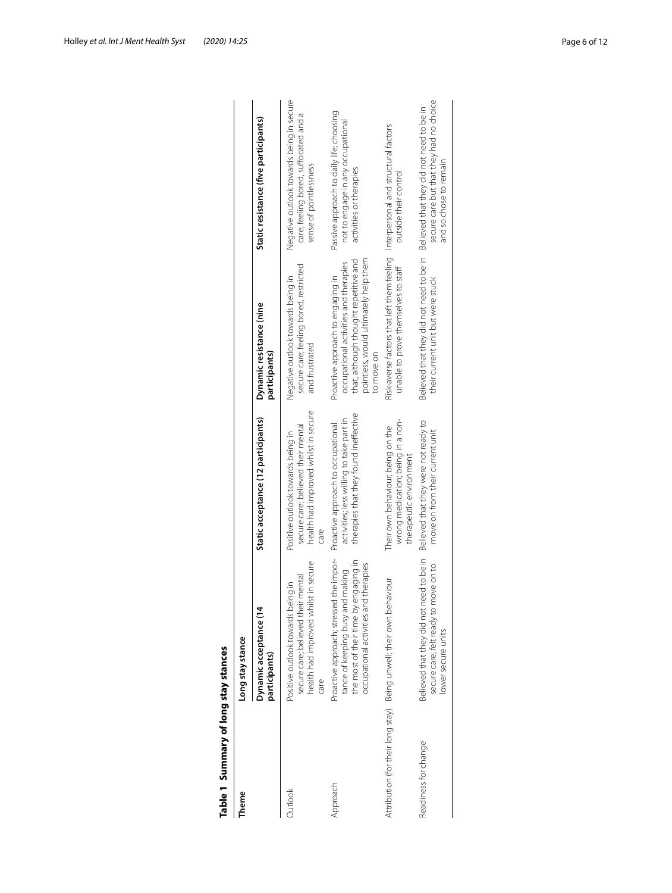| Table 1 Summary of long stay stances |                                                                                                                                                               |                                                                                                                         |                                                                                                                                                                            |                                                                                                             |
|--------------------------------------|---------------------------------------------------------------------------------------------------------------------------------------------------------------|-------------------------------------------------------------------------------------------------------------------------|----------------------------------------------------------------------------------------------------------------------------------------------------------------------------|-------------------------------------------------------------------------------------------------------------|
| Theme                                | Long stay stance                                                                                                                                              |                                                                                                                         |                                                                                                                                                                            |                                                                                                             |
|                                      | Dynamic acceptance (14<br>participants)                                                                                                                       | Static acceptance (12 participants)                                                                                     | Dynamic resistance (nine<br>participants)                                                                                                                                  | Static resistance (five participants)                                                                       |
| <b>Dutlook</b>                       | health had improved whilst in secure<br>secure care; believed their mental<br>Positive outlook towards being in<br>Care                                       | health had improved whilst in secure<br>secure care; believed their mental<br>Positive outlook towards being in<br>care | secure care; feeling bored, restricted<br>Negative outlook towards being in<br>and frustrated                                                                              | Negative outlook towards being in secure<br>care; feeling bored, suffocated and a<br>sense of pointlessness |
| Approach                             | Proactive approach; stressed the impor-<br>the most of their time by engaging in<br>occupational activities and therapies<br>tance of keeping busy and making | therapies that they found ineffective<br>activities; less willing to take part in<br>Proactive approach to occupational | pointless, would ultimately help them<br>that, although thought repetitive and<br>occupational activities and therapies<br>Proactive approach to engaging in<br>to move on | Passive approach to daily life; choosing<br>not to engage in any occupational<br>activities or therapies    |
|                                      | Attribution (for their long stay) Being unwell; their own behaviour                                                                                           | wrong medication; being in a non-<br>Their own behaviour; being on the<br>therapeutic environment                       | Risk-averse factors that left them feeling Interpersonal and structural factors<br>unable to prove themselves to staff                                                     | outside their control                                                                                       |
| Readiness for change                 | Believed that they did not need to be in<br>move on to<br>secure care; felt ready to<br>lower secure units                                                    | Believed that they were not ready to<br>move on from their current unit                                                 | Believed that they did not need to be in Believed that they did not need to be in<br>their current unit but were stuck                                                     | secure care but that they had no choice<br>and so chose to remain                                           |
|                                      |                                                                                                                                                               |                                                                                                                         |                                                                                                                                                                            |                                                                                                             |

<span id="page-5-0"></span>

| l<br>ı |
|--------|
| ֠<br>í |
|        |
|        |
| ī      |
|        |
|        |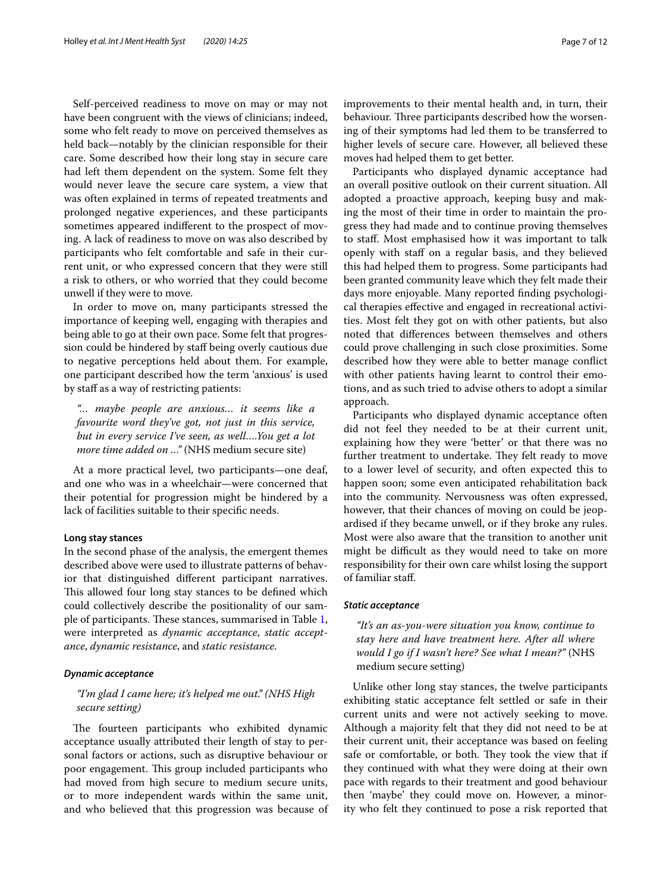Self-perceived readiness to move on may or may not have been congruent with the views of clinicians; indeed, some who felt ready to move on perceived themselves as held back—notably by the clinician responsible for their care. Some described how their long stay in secure care had left them dependent on the system. Some felt they would never leave the secure care system, a view that was often explained in terms of repeated treatments and prolonged negative experiences, and these participants sometimes appeared indiferent to the prospect of moving. A lack of readiness to move on was also described by participants who felt comfortable and safe in their current unit, or who expressed concern that they were still a risk to others, or who worried that they could become unwell if they were to move.

In order to move on, many participants stressed the importance of keeping well, engaging with therapies and being able to go at their own pace. Some felt that progression could be hindered by staf being overly cautious due to negative perceptions held about them. For example, one participant described how the term 'anxious' is used by staff as a way of restricting patients:

*"… maybe people are anxious… it seems like a favourite word they've got, not just in this service, but in every service I've seen, as well….You get a lot more time added on …"* (NHS medium secure site)

At a more practical level, two participants—one deaf, and one who was in a wheelchair—were concerned that their potential for progression might be hindered by a lack of facilities suitable to their specifc needs.

### **Long stay stances**

In the second phase of the analysis, the emergent themes described above were used to illustrate patterns of behavior that distinguished diferent participant narratives. This allowed four long stay stances to be defined which could collectively describe the positionality of our sam-ple of participants. These stances, summarised in Table [1](#page-5-0), were interpreted as *dynamic acceptance*, *static acceptance*, *dynamic resistance*, and *static resistance*.

### *Dynamic acceptance*

### *"I'm glad I came here; it's helped me out." (NHS High secure setting)*

The fourteen participants who exhibited dynamic acceptance usually attributed their length of stay to personal factors or actions, such as disruptive behaviour or poor engagement. This group included participants who had moved from high secure to medium secure units, or to more independent wards within the same unit, and who believed that this progression was because of improvements to their mental health and, in turn, their behaviour. Three participants described how the worsening of their symptoms had led them to be transferred to higher levels of secure care. However, all believed these moves had helped them to get better.

Participants who displayed dynamic acceptance had an overall positive outlook on their current situation. All adopted a proactive approach, keeping busy and making the most of their time in order to maintain the progress they had made and to continue proving themselves to staf. Most emphasised how it was important to talk openly with staf on a regular basis, and they believed this had helped them to progress. Some participants had been granted community leave which they felt made their days more enjoyable. Many reported fnding psychological therapies efective and engaged in recreational activities. Most felt they got on with other patients, but also noted that diferences between themselves and others could prove challenging in such close proximities. Some described how they were able to better manage confict with other patients having learnt to control their emotions, and as such tried to advise others to adopt a similar approach.

Participants who displayed dynamic acceptance often did not feel they needed to be at their current unit, explaining how they were 'better' or that there was no further treatment to undertake. They felt ready to move to a lower level of security, and often expected this to happen soon; some even anticipated rehabilitation back into the community. Nervousness was often expressed, however, that their chances of moving on could be jeopardised if they became unwell, or if they broke any rules. Most were also aware that the transition to another unit might be difficult as they would need to take on more responsibility for their own care whilst losing the support of familiar staf.

#### *Static acceptance*

*"It's an as*-*you*-*were situation you know, continue to stay here and have treatment here. After all where would I go if I wasn't here? See what I mean?"* (NHS medium secure setting)

Unlike other long stay stances, the twelve participants exhibiting static acceptance felt settled or safe in their current units and were not actively seeking to move. Although a majority felt that they did not need to be at their current unit, their acceptance was based on feeling safe or comfortable, or both. They took the view that if they continued with what they were doing at their own pace with regards to their treatment and good behaviour then 'maybe' they could move on. However, a minority who felt they continued to pose a risk reported that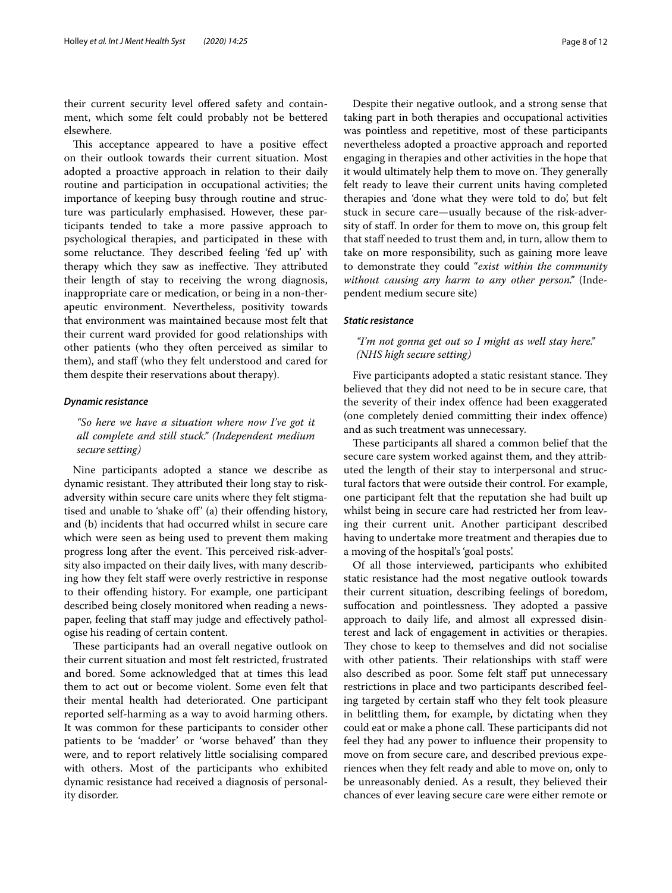their current security level offered safety and containment, which some felt could probably not be bettered elsewhere.

This acceptance appeared to have a positive effect on their outlook towards their current situation. Most adopted a proactive approach in relation to their daily routine and participation in occupational activities; the importance of keeping busy through routine and structure was particularly emphasised. However, these participants tended to take a more passive approach to psychological therapies, and participated in these with some reluctance. They described feeling 'fed up' with therapy which they saw as ineffective. They attributed their length of stay to receiving the wrong diagnosis, inappropriate care or medication, or being in a non-therapeutic environment. Nevertheless, positivity towards that environment was maintained because most felt that their current ward provided for good relationships with other patients (who they often perceived as similar to them), and staff (who they felt understood and cared for them despite their reservations about therapy).

#### *Dynamic resistance*

*"So here we have a situation where now I've got it all complete and still stuck." (Independent medium secure setting)*

Nine participants adopted a stance we describe as dynamic resistant. They attributed their long stay to riskadversity within secure care units where they felt stigmatised and unable to 'shake of' (a) their ofending history, and (b) incidents that had occurred whilst in secure care which were seen as being used to prevent them making progress long after the event. This perceived risk-adversity also impacted on their daily lives, with many describing how they felt staff were overly restrictive in response to their ofending history. For example, one participant described being closely monitored when reading a newspaper, feeling that staff may judge and effectively pathologise his reading of certain content.

These participants had an overall negative outlook on their current situation and most felt restricted, frustrated and bored. Some acknowledged that at times this lead them to act out or become violent. Some even felt that their mental health had deteriorated. One participant reported self-harming as a way to avoid harming others. It was common for these participants to consider other patients to be 'madder' or 'worse behaved' than they were, and to report relatively little socialising compared with others. Most of the participants who exhibited dynamic resistance had received a diagnosis of personality disorder.

Despite their negative outlook, and a strong sense that taking part in both therapies and occupational activities was pointless and repetitive, most of these participants nevertheless adopted a proactive approach and reported engaging in therapies and other activities in the hope that it would ultimately help them to move on. They generally felt ready to leave their current units having completed therapies and 'done what they were told to do', but felt stuck in secure care—usually because of the risk-adversity of staf. In order for them to move on, this group felt that staf needed to trust them and, in turn, allow them to take on more responsibility, such as gaining more leave to demonstrate they could "*exist within the community without causing any harm to any other person."* (Independent medium secure site)

### *Static resistance*

### *"I'm not gonna get out so I might as well stay here." (NHS high secure setting)*

Five participants adopted a static resistant stance. They believed that they did not need to be in secure care, that the severity of their index offence had been exaggerated (one completely denied committing their index ofence) and as such treatment was unnecessary.

These participants all shared a common belief that the secure care system worked against them, and they attributed the length of their stay to interpersonal and structural factors that were outside their control. For example, one participant felt that the reputation she had built up whilst being in secure care had restricted her from leaving their current unit. Another participant described having to undertake more treatment and therapies due to a moving of the hospital's 'goal posts'.

Of all those interviewed, participants who exhibited static resistance had the most negative outlook towards their current situation, describing feelings of boredom, suffocation and pointlessness. They adopted a passive approach to daily life, and almost all expressed disinterest and lack of engagement in activities or therapies. They chose to keep to themselves and did not socialise with other patients. Their relationships with staff were also described as poor. Some felt staff put unnecessary restrictions in place and two participants described feeling targeted by certain staff who they felt took pleasure in belittling them, for example, by dictating when they could eat or make a phone call. These participants did not feel they had any power to infuence their propensity to move on from secure care, and described previous experiences when they felt ready and able to move on, only to be unreasonably denied. As a result, they believed their chances of ever leaving secure care were either remote or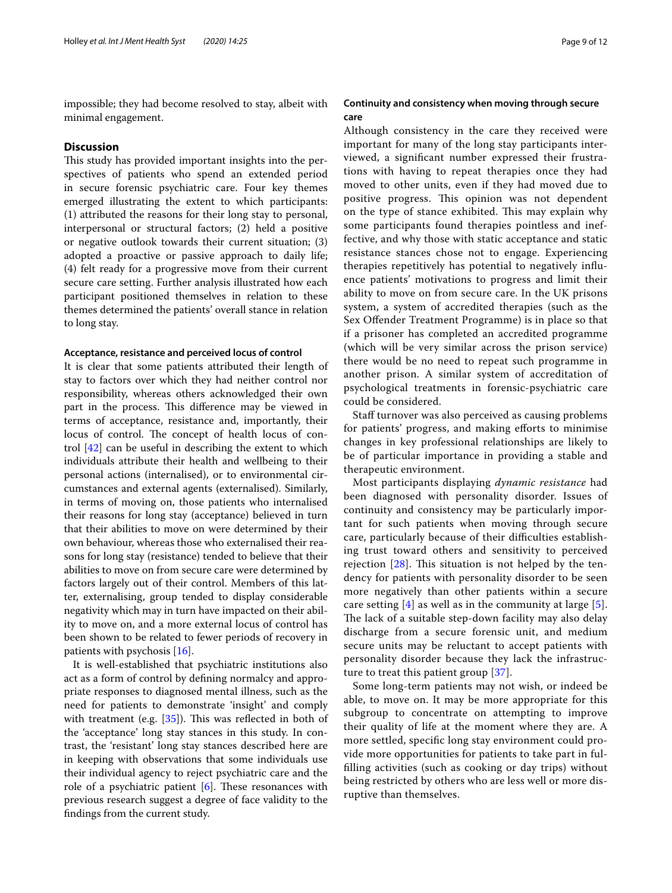impossible; they had become resolved to stay, albeit with minimal engagement.

### **Discussion**

This study has provided important insights into the perspectives of patients who spend an extended period in secure forensic psychiatric care. Four key themes emerged illustrating the extent to which participants: (1) attributed the reasons for their long stay to personal, interpersonal or structural factors; (2) held a positive or negative outlook towards their current situation; (3) adopted a proactive or passive approach to daily life; (4) felt ready for a progressive move from their current secure care setting. Further analysis illustrated how each participant positioned themselves in relation to these themes determined the patients' overall stance in relation to long stay.

### **Acceptance, resistance and perceived locus of control**

It is clear that some patients attributed their length of stay to factors over which they had neither control nor responsibility, whereas others acknowledged their own part in the process. This difference may be viewed in terms of acceptance, resistance and, importantly, their locus of control. The concept of health locus of control [[42\]](#page-11-15) can be useful in describing the extent to which individuals attribute their health and wellbeing to their personal actions (internalised), or to environmental circumstances and external agents (externalised). Similarly, in terms of moving on, those patients who internalised their reasons for long stay (acceptance) believed in turn that their abilities to move on were determined by their own behaviour, whereas those who externalised their reasons for long stay (resistance) tended to believe that their abilities to move on from secure care were determined by factors largely out of their control. Members of this latter, externalising, group tended to display considerable negativity which may in turn have impacted on their ability to move on, and a more external locus of control has been shown to be related to fewer periods of recovery in patients with psychosis [[16](#page-10-16)].

It is well-established that psychiatric institutions also act as a form of control by defning normalcy and appropriate responses to diagnosed mental illness, such as the need for patients to demonstrate 'insight' and comply with treatment (e.g.  $[35]$  $[35]$ ). This was reflected in both of the 'acceptance' long stay stances in this study. In contrast, the 'resistant' long stay stances described here are in keeping with observations that some individuals use their individual agency to reject psychiatric care and the role of a psychiatric patient  $[6]$  $[6]$ . These resonances with previous research suggest a degree of face validity to the fndings from the current study.

### **Continuity and consistency when moving through secure care**

Although consistency in the care they received were important for many of the long stay participants interviewed, a signifcant number expressed their frustrations with having to repeat therapies once they had moved to other units, even if they had moved due to positive progress. This opinion was not dependent on the type of stance exhibited. This may explain why some participants found therapies pointless and ineffective, and why those with static acceptance and static resistance stances chose not to engage. Experiencing therapies repetitively has potential to negatively infuence patients' motivations to progress and limit their ability to move on from secure care. In the UK prisons system, a system of accredited therapies (such as the Sex Ofender Treatment Programme) is in place so that if a prisoner has completed an accredited programme (which will be very similar across the prison service) there would be no need to repeat such programme in another prison. A similar system of accreditation of psychological treatments in forensic-psychiatric care could be considered.

Staff turnover was also perceived as causing problems for patients' progress, and making eforts to minimise changes in key professional relationships are likely to be of particular importance in providing a stable and therapeutic environment.

Most participants displaying *dynamic resistance* had been diagnosed with personality disorder. Issues of continuity and consistency may be particularly important for such patients when moving through secure care, particularly because of their difficulties establishing trust toward others and sensitivity to perceived rejection  $[28]$  $[28]$ . This situation is not helped by the tendency for patients with personality disorder to be seen more negatively than other patients within a secure care setting  $[4]$  $[4]$  as well as in the community at large  $[5]$  $[5]$  $[5]$ . The lack of a suitable step-down facility may also delay discharge from a secure forensic unit, and medium secure units may be reluctant to accept patients with personality disorder because they lack the infrastructure to treat this patient group [\[37\]](#page-11-18).

Some long-term patients may not wish, or indeed be able, to move on. It may be more appropriate for this subgroup to concentrate on attempting to improve their quality of life at the moment where they are. A more settled, specifc long stay environment could provide more opportunities for patients to take part in fulflling activities (such as cooking or day trips) without being restricted by others who are less well or more disruptive than themselves.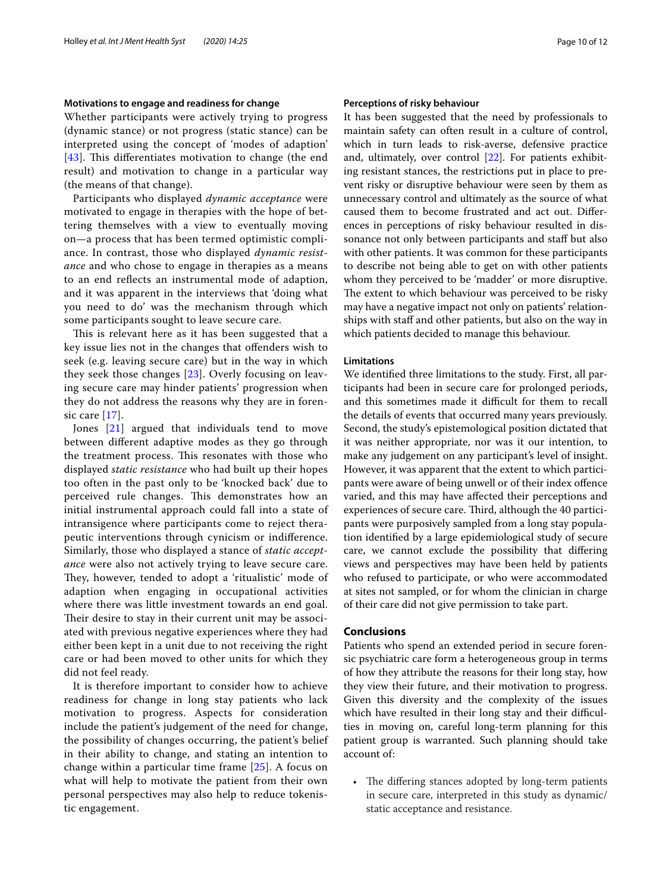### **Motivations to engage and readiness for change**

Whether participants were actively trying to progress (dynamic stance) or not progress (static stance) can be interpreted using the concept of 'modes of adaption' [[43](#page-11-19)]. This differentiates motivation to change (the end result) and motivation to change in a particular way (the means of that change).

Participants who displayed *dynamic acceptance* were motivated to engage in therapies with the hope of bettering themselves with a view to eventually moving on—a process that has been termed optimistic compliance. In contrast, those who displayed *dynamic resistance* and who chose to engage in therapies as a means to an end refects an instrumental mode of adaption, and it was apparent in the interviews that 'doing what you need to do' was the mechanism through which some participants sought to leave secure care.

This is relevant here as it has been suggested that a key issue lies not in the changes that ofenders wish to seek (e.g. leaving secure care) but in the way in which they seek those changes [\[23](#page-11-20)]. Overly focusing on leaving secure care may hinder patients' progression when they do not address the reasons why they are in forensic care [[17\]](#page-10-20).

Jones [[21](#page-10-21)] argued that individuals tend to move between diferent adaptive modes as they go through the treatment process. This resonates with those who displayed *static resistance* who had built up their hopes too often in the past only to be 'knocked back' due to perceived rule changes. This demonstrates how an initial instrumental approach could fall into a state of intransigence where participants come to reject therapeutic interventions through cynicism or indiference. Similarly, those who displayed a stance of *static acceptance* were also not actively trying to leave secure care. They, however, tended to adopt a 'ritualistic' mode of adaption when engaging in occupational activities where there was little investment towards an end goal. Their desire to stay in their current unit may be associated with previous negative experiences where they had either been kept in a unit due to not receiving the right care or had been moved to other units for which they did not feel ready.

It is therefore important to consider how to achieve readiness for change in long stay patients who lack motivation to progress. Aspects for consideration include the patient's judgement of the need for change, the possibility of changes occurring, the patient's belief in their ability to change, and stating an intention to change within a particular time frame [\[25](#page-11-21)]. A focus on what will help to motivate the patient from their own personal perspectives may also help to reduce tokenistic engagement.

### **Perceptions of risky behaviour**

It has been suggested that the need by professionals to maintain safety can often result in a culture of control, which in turn leads to risk-averse, defensive practice and, ultimately, over control [[22](#page-10-22)]. For patients exhibiting resistant stances, the restrictions put in place to prevent risky or disruptive behaviour were seen by them as unnecessary control and ultimately as the source of what caused them to become frustrated and act out. Diferences in perceptions of risky behaviour resulted in dissonance not only between participants and staff but also with other patients. It was common for these participants to describe not being able to get on with other patients whom they perceived to be 'madder' or more disruptive. The extent to which behaviour was perceived to be risky may have a negative impact not only on patients' relationships with staff and other patients, but also on the way in which patients decided to manage this behaviour.

### **Limitations**

We identifed three limitations to the study. First, all participants had been in secure care for prolonged periods, and this sometimes made it difficult for them to recall the details of events that occurred many years previously. Second, the study's epistemological position dictated that it was neither appropriate, nor was it our intention, to make any judgement on any participant's level of insight. However, it was apparent that the extent to which participants were aware of being unwell or of their index ofence varied, and this may have afected their perceptions and experiences of secure care. Third, although the 40 participants were purposively sampled from a long stay population identifed by a large epidemiological study of secure care, we cannot exclude the possibility that difering views and perspectives may have been held by patients who refused to participate, or who were accommodated at sites not sampled, or for whom the clinician in charge of their care did not give permission to take part.

### **Conclusions**

Patients who spend an extended period in secure forensic psychiatric care form a heterogeneous group in terms of how they attribute the reasons for their long stay, how they view their future, and their motivation to progress. Given this diversity and the complexity of the issues which have resulted in their long stay and their difficulties in moving on, careful long-term planning for this patient group is warranted. Such planning should take account of:

• The differing stances adopted by long-term patients in secure care, interpreted in this study as dynamic/ static acceptance and resistance.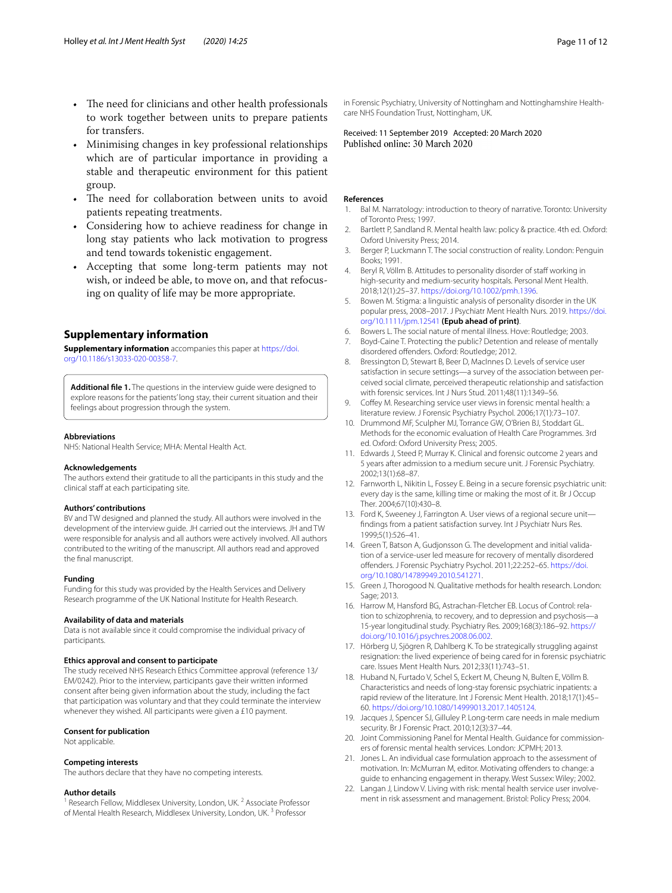- The need for clinicians and other health professionals to work together between units to prepare patients for transfers.
- Minimising changes in key professional relationships which are of particular importance in providing a stable and therapeutic environment for this patient group.
- The need for collaboration between units to avoid patients repeating treatments.
- Considering how to achieve readiness for change in long stay patients who lack motivation to progress and tend towards tokenistic engagement.
- Accepting that some long-term patients may not wish, or indeed be able, to move on, and that refocusing on quality of life may be more appropriate.

### **Supplementary information**

**Supplementary information** accompanies this paper at [https://doi.](https://doi.org/10.1186/s13033-020-00358-7) [org/10.1186/s13033-020-00358-7](https://doi.org/10.1186/s13033-020-00358-7).

<span id="page-10-13"></span>**Additional fle 1.** The questions in the interview guide were designed to explore reasons for the patients' long stay, their current situation and their feelings about progression through the system.

#### **Abbreviations**

NHS: National Health Service; MHA: Mental Health Act.

#### **Acknowledgements**

The authors extend their gratitude to all the participants in this study and the clinical staff at each participating site.

#### **Authors' contributions**

BV and TW designed and planned the study. All authors were involved in the development of the interview guide. JH carried out the interviews. JH and TW were responsible for analysis and all authors were actively involved. All authors contributed to the writing of the manuscript. All authors read and approved the fnal manuscript.

#### **Funding**

Funding for this study was provided by the Health Services and Delivery Research programme of the UK National Institute for Health Research.

### **Availability of data and materials**

Data is not available since it could compromise the individual privacy of participants.

### **Ethics approval and consent to participate**

The study received NHS Research Ethics Committee approval (reference 13/ EM/0242). Prior to the interview, participants gave their written informed consent after being given information about the study, including the fact that participation was voluntary and that they could terminate the interview whenever they wished. All participants were given a £10 payment.

#### **Consent for publication**

Not applicable.

#### **Competing interests**

The authors declare that they have no competing interests.

#### **Author details**

<sup>1</sup> Research Fellow, Middlesex University, London, UK.<sup>2</sup> Associate Professor of Mental Health Research, Middlesex University, London, UK. 3 Professor

in Forensic Psychiatry, University of Nottingham and Nottinghamshire Healthcare NHS Foundation Trust, Nottingham, UK.

Received: 11 September 2019 Accepted: 20 March 2020

#### **References**

- <span id="page-10-15"></span>1. Bal M. Narratology: introduction to theory of narrative. Toronto: University of Toronto Press; 1997.
- <span id="page-10-3"></span>2. Bartlett P, Sandland R. Mental health law: policy & practice. 4th ed. Oxford: Oxford University Press; 2014.
- <span id="page-10-12"></span>3. Berger P, Luckmann T. The social construction of reality. London: Penguin Books; 1991.
- <span id="page-10-18"></span>4. Beryl R, Völlm B. Attitudes to personality disorder of staff working in high-security and medium-security hospitals. Personal Ment Health. 2018;12(1):25–37.<https://doi.org/10.1002/pmh.1396>.
- <span id="page-10-19"></span>5. Bowen M. Stigma: a linguistic analysis of personality disorder in the UK popular press, 2008–2017. J Psychiatr Ment Health Nurs. 2019. [https://doi.](https://doi.org/10.1111/jpm.12541) [org/10.1111/jpm.12541](https://doi.org/10.1111/jpm.12541) **(Epub ahead of print)**.
- <span id="page-10-17"></span>6. Bowers L. The social nature of mental illness. Hove: Routledge; 2003.
- <span id="page-10-0"></span>Boyd-Caine T. Protecting the public? Detention and release of mentally disordered ofenders. Oxford: Routledge; 2012.
- <span id="page-10-9"></span>8. Bressington D, Stewart B, Beer D, MacInnes D. Levels of service user satisfaction in secure settings—a survey of the association between perceived social climate, perceived therapeutic relationship and satisfaction with forensic services. Int J Nurs Stud. 2011;48(11):1349–56.
- <span id="page-10-5"></span>9. Coffey M. Researching service user views in forensic mental health: a literature review. J Forensic Psychiatry Psychol. 2006;17(1):73–107.
- <span id="page-10-4"></span>10. Drummond MF, Sculpher MJ, Torrance GW, O'Brien BJ, Stoddart GL. Methods for the economic evaluation of Health Care Programmes. 3rd ed. Oxford: Oxford University Press; 2005.
- <span id="page-10-2"></span>11. Edwards J, Steed P, Murray K. Clinical and forensic outcome 2 years and 5 years after admission to a medium secure unit. J Forensic Psychiatry. 2002;13(1):68–87.
- <span id="page-10-10"></span>12. Farnworth L, Nikitin L, Fossey E. Being in a secure forensic psychiatric unit: every day is the same, killing time or making the most of it. Br J Occup Ther. 2004;67(10):430–8.
- <span id="page-10-8"></span>13. Ford K, Sweeney J, Farrington A. User views of a regional secure unit fndings from a patient satisfaction survey. Int J Psychiatr Nurs Res. 1999;5(1):526–41.
- <span id="page-10-7"></span>14. Green T, Batson A, Gudjonsson G. The development and initial validation of a service-user led measure for recovery of mentally disordered ofenders. J Forensic Psychiatry Psychol. 2011;22:252–65. [https://doi.](https://doi.org/10.1080/14789949.2010.541271) [org/10.1080/14789949.2010.541271.](https://doi.org/10.1080/14789949.2010.541271)
- <span id="page-10-14"></span>15. Green J, Thorogood N. Qualitative methods for health research. London: Sage; 2013.
- <span id="page-10-16"></span>16. Harrow M, Hansford BG, Astrachan-Fletcher EB. Locus of Control: relation to schizophrenia, to recovery, and to depression and psychosis—a 15-year longitudinal study. Psychiatry Res. 2009;168(3):186–92. [https://](https://doi.org/10.1016/j.psychres.2008.06.002) [doi.org/10.1016/j.psychres.2008.06.002](https://doi.org/10.1016/j.psychres.2008.06.002).
- <span id="page-10-20"></span>17. Hörberg U, Sjögren R, Dahlberg K. To be strategically struggling against resignation: the lived experience of being cared for in forensic psychiatric care. Issues Ment Health Nurs. 2012;33(11):743–51.
- <span id="page-10-11"></span>18. Huband N, Furtado V, Schel S, Eckert M, Cheung N, Bulten E, Völlm B. Characteristics and needs of long-stay forensic psychiatric inpatients: a rapid review of the literature. Int J Forensic Ment Health. 2018;17(1):45– 60. [https://doi.org/10.1080/14999013.2017.1405124.](https://doi.org/10.1080/14999013.2017.1405124)
- <span id="page-10-6"></span>19. Jacques J, Spencer SJ, Gilluley P. Long-term care needs in male medium security. Br J Forensic Pract. 2010;12(3):37–44.
- <span id="page-10-1"></span>20. Joint Commissioning Panel for Mental Health. Guidance for commissioners of forensic mental health services. London: JCPMH; 2013.
- <span id="page-10-21"></span>21. Jones L. An individual case formulation approach to the assessment of motivation. In: McMurran M, editor. Motivating ofenders to change: a guide to enhancing engagement in therapy. West Sussex: Wiley; 2002.
- <span id="page-10-22"></span>22. Langan J, Lindow V. Living with risk: mental health service user involvement in risk assessment and management. Bristol: Policy Press; 2004.